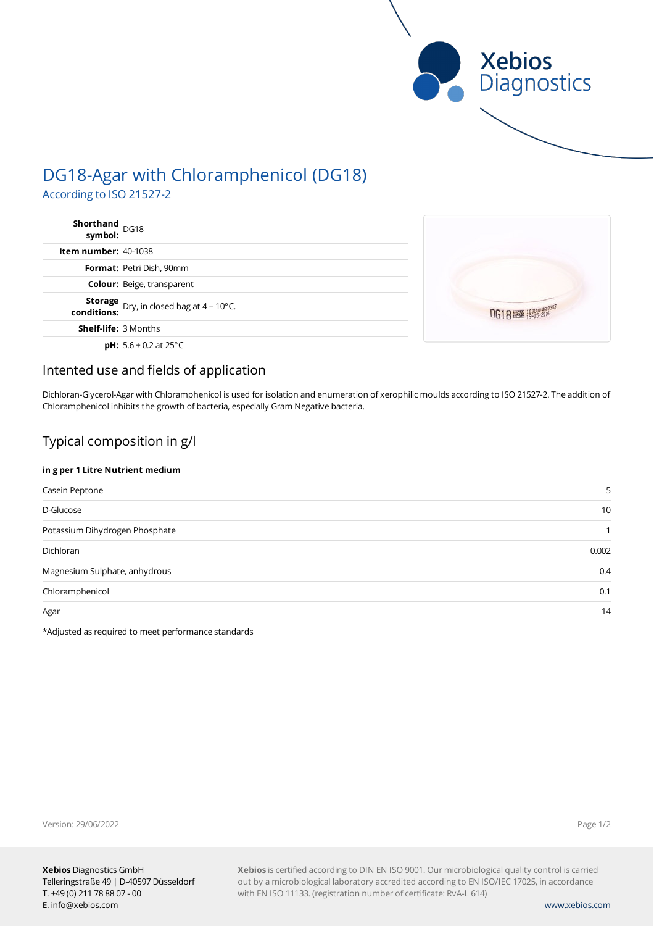

# DG18-Agar with Chloramphenicol (DG18) According to ISO 21527-2

**Shorthand** DG18 **symbol: Item number:** 40-1038 **Format:** Petri Dish, 90mm **Colour:** Beige, transparent **Storage**

**conditions:** Dry, in closed bag at 4 – 10°C.

**Shelf-life:** 3 Months

**pH:** 5.6 ± 0.2 at 25°C



## Intented use and fields of application

Dichloran-Glycerol-Agar with Chloramphenicol is used for isolation and enumeration of xerophilic moulds according to ISO 21527-2. The addition of Chloramphenicol inhibits the growth of bacteria, especially Gram Negative bacteria.

# Typical composition in g/l

### **in g per 1 Litre Nutrient medium**

| Casein Peptone                 | 5     |
|--------------------------------|-------|
| D-Glucose                      | 10    |
| Potassium Dihydrogen Phosphate |       |
| Dichloran                      | 0.002 |
| Magnesium Sulphate, anhydrous  | 0.4   |
| Chloramphenicol                | 0.1   |
| Agar                           | 14    |
|                                |       |

\*Adjusted as required to meet performance standards

Version: 29/06/2022

Page 1/2

**Xebios** is certified according to DIN EN ISO 9001. Our microbiological quality control is carried out by a microbiological laboratory accredited according to EN ISO/IEC 17025, in accordance with EN ISO 11133. (registration number of certificate: RvA-L 614)